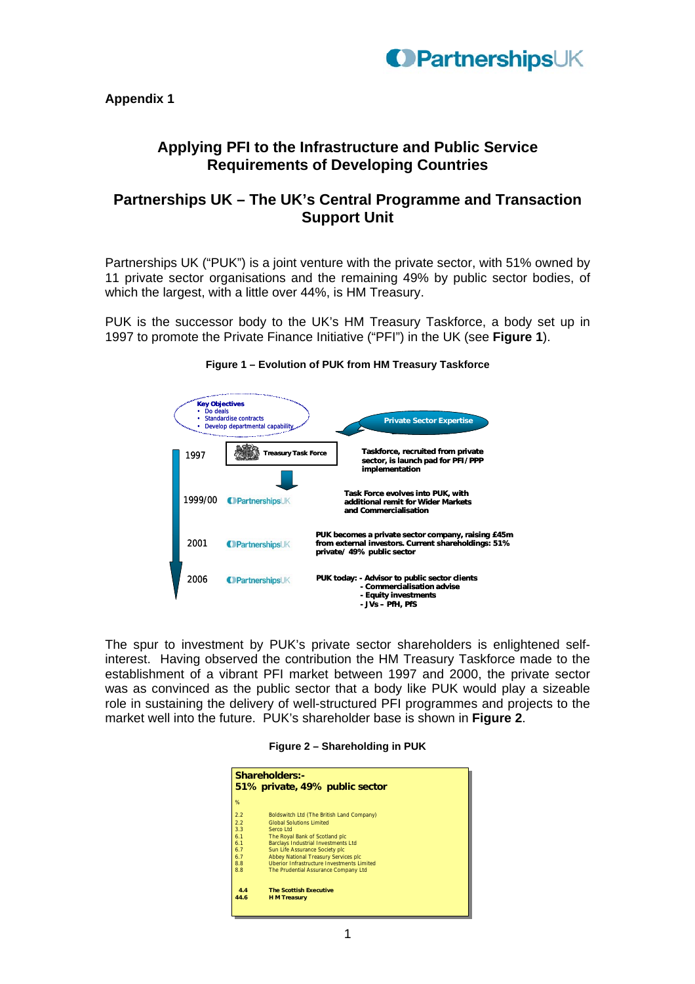

**Appendix 1** 

## **Applying PFI to the Infrastructure and Public Service Requirements of Developing Countries**

## **Partnerships UK – The UK's Central Programme and Transaction Support Unit**

Partnerships UK ("PUK") is a joint venture with the private sector, with 51% owned by 11 private sector organisations and the remaining 49% by public sector bodies, of which the largest, with a little over 44%, is HM Treasury.

PUK is the successor body to the UK's HM Treasury Taskforce, a body set up in 1997 to promote the Private Finance Initiative ("PFI") in the UK (see **Figure 1**).



## **Figure 1 – Evolution of PUK from HM Treasury Taskforce**

The spur to investment by PUK's private sector shareholders is enlightened selfinterest. Having observed the contribution the HM Treasury Taskforce made to the establishment of a vibrant PFI market between 1997 and 2000, the private sector was as convinced as the public sector that a body like PUK would play a sizeable role in sustaining the delivery of well-structured PFI programmes and projects to the market well into the future. PUK's shareholder base is shown in **Figure 2**.

| Figure 2 - Shareholding in PUK |  |  |  |  |  |
|--------------------------------|--|--|--|--|--|
|--------------------------------|--|--|--|--|--|

| Shareholders:-<br>51% private, 49% public sector |                                                   |  |  |  |
|--------------------------------------------------|---------------------------------------------------|--|--|--|
| %                                                |                                                   |  |  |  |
| 2.2                                              | Boldswitch Ltd (The British Land Company)         |  |  |  |
| 2.2                                              | <b>Global Solutions Limited</b>                   |  |  |  |
| 3.3                                              | Serco Ltd                                         |  |  |  |
| 6.1                                              | The Royal Bank of Scotland plc                    |  |  |  |
| 6.1                                              | Barclays Industrial Investments Ltd               |  |  |  |
| 6.7                                              | Sun Life Assurance Society plc                    |  |  |  |
| 6.7                                              | Abbey National Treasury Services plc              |  |  |  |
| 8.8                                              | <b>Uberior Infrastructure Investments Limited</b> |  |  |  |
| 8.8                                              | The Prudential Assurance Company Ltd              |  |  |  |
|                                                  |                                                   |  |  |  |
| 4.4                                              | <b>The Scottish Executive</b>                     |  |  |  |
| 44.6                                             | <b>H</b> M Treasury                               |  |  |  |
|                                                  |                                                   |  |  |  |